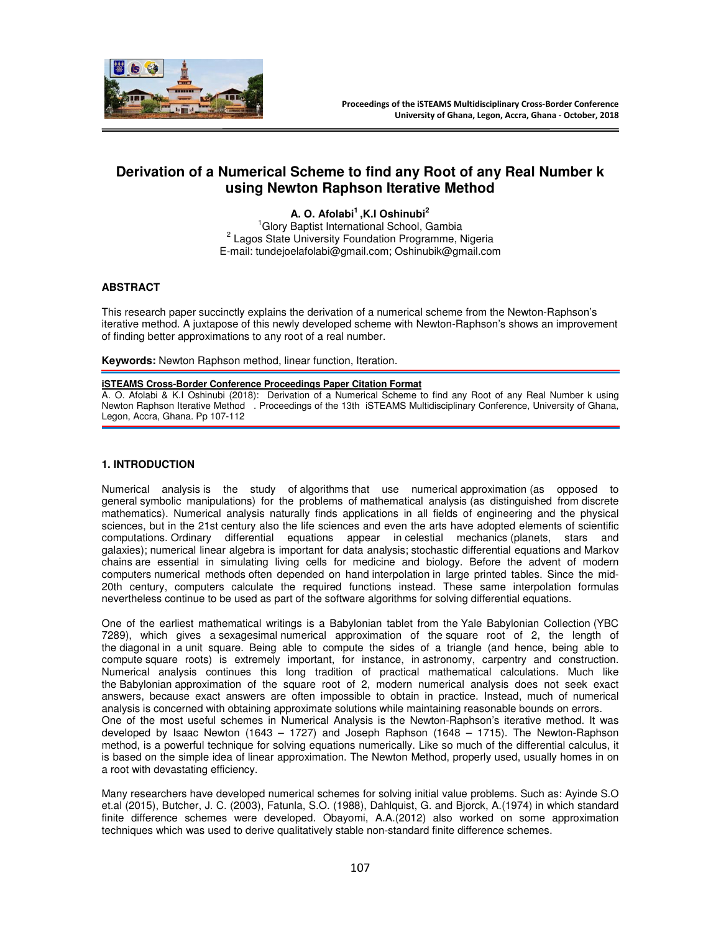

# **Derivation of a Numerical Scheme to find any Root of any Real Number k using Newton Raphson Iterative Method**

**A. O. Afolabi<sup>1</sup>,K.I Oshinubi<sup>2</sup>** <sup>1</sup>Glory Baptist International School, Gambia <sup>2</sup> Lagos State University Foundation Programme, Nigeria E-mail: tundejoelafolabi@gmail.com; Oshinubik@gmail.com

#### **ABSTRACT**

This research paper succinctly explains the derivation of a numerical scheme from the Newton-Raphson's iterative method. A juxtapose of this newly developed scheme with Newton-Raphson's shows an improvement of finding better approximations to any root of a real number.

**Keywords:** Newton Raphson method, linear function, Iteration.

## **iSTEAMS Cross-Border Conference Proceedings Paper Citation Format**

A. O. Afolabi & K.I Oshinubi (2018): Derivation of a Numerical Scheme to find any Root of any Real Number k using Newton Raphson Iterative Method . Proceedings of the 13th iSTEAMS Multidisciplinary Conference, University of Ghana, Legon, Accra, Ghana. Pp 107-112

#### **1. INTRODUCTION**

Numerical analysis is the study of algorithms that use numerical approximation (as opposed to general symbolic manipulations) for the problems of mathematical analysis (as distinguished from discrete mathematics). Numerical analysis naturally finds applications in all fields of engineering and the physical sciences, but in the 21st century also the life sciences and even the arts have adopted elements of scientific computations. Ordinary differential equations appear in celestial mechanics (planets, stars and galaxies); numerical linear algebra is important for data analysis; stochastic differential equations and Markov chains are essential in simulating living cells for medicine and biology. Before the advent of modern computers numerical methods often depended on hand interpolation in large printed tables. Since the mid-20th century, computers calculate the required functions instead. These same interpolation formulas nevertheless continue to be used as part of the software algorithms for solving differential equations.

One of the earliest mathematical writings is a Babylonian tablet from the Yale Babylonian Collection (YBC 7289), which gives a sexagesimal numerical approximation of the square root of 2, the length of the diagonal in a unit square. Being able to compute the sides of a triangle (and hence, being able to compute square roots) is extremely important, for instance, in astronomy, carpentry and construction. Numerical analysis continues this long tradition of practical mathematical calculations. Much like the Babylonian approximation of the square root of 2, modern numerical analysis does not seek exact answers, because exact answers are often impossible to obtain in practice. Instead, much of numerical analysis is concerned with obtaining approximate solutions while maintaining reasonable bounds on errors. One of the most useful schemes in Numerical Analysis is the Newton-Raphson's iterative method. It was developed by Isaac Newton (1643 – 1727) and Joseph Raphson (1648 – 1715). The Newton-Raphson method, is a powerful technique for solving equations numerically. Like so much of the differential calculus, it is based on the simple idea of linear approximation. The Newton Method, properly used, usually homes in on a root with devastating efficiency.

Many researchers have developed numerical schemes for solving initial value problems. Such as: Ayinde S.O et.al (2015), Butcher, J. C. (2003), Fatunla, S.O. (1988), Dahlquist, G. and Bjorck, A.(1974) in which standard finite difference schemes were developed. Obayomi, A.A.(2012) also worked on some approximation techniques which was used to derive qualitatively stable non-standard finite difference schemes.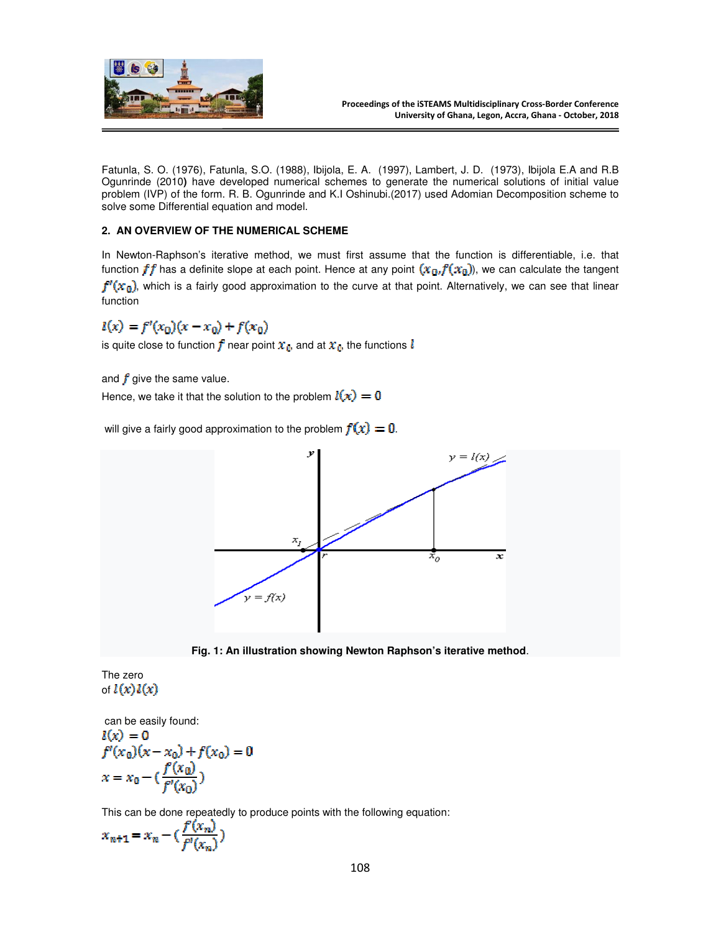

Fatunla, S. O. (1976), Fatunla, S.O. (1988), Ibijola, E. A. (1997), Lambert, J. D. (1973), Ibijola E.A and R.B Ogunrinde (2010**)** have developed numerical schemes to generate the numerical solutions of initial value problem (IVP) of the form. R. B. Ogunrinde and K.I Oshinubi.(2017) used Adomian Decomposition scheme to solve some Differential equation and model.

### **2. AN OVERVIEW OF THE NUMERICAL SCHEME**

In Newton-Raphson's iterative method, we must first assume that the function is differentiable, i.e. that function  $ff$  has a definite slope at each point. Hence at any point  $(x_0, f(x_0))$ , we can calculate the tangent  $f'(x_0)$ , which is a fairly good approximation to the curve at that point. Alternatively, we can see that linear function

$$
l(x) = f'(x_0)(x - x_0) + f(x_0)
$$

is quite close to function  $f$  near point  $x_0$ , and at  $x_0$ , the functions  $l$ 

and  $f$  give the same value.

Hence, we take it that the solution to the problem  $l(x) = 0$ 

will give a fairly good approximation to the problem  $f(x) = 0$ .



**Fig. 1: An illustration showing Newton Raphson's iterative method**.

The zero of  $l(x)l(x)$ 

 can be easily found:  $l(x) = 0$  $f'(x_0)(x-x_0)+f(x_0)=0$  $x = x_0 - (\frac{f(x_0)}{f'(x_0)})$ 

This can be done repeatedly to produce points with the following equation:

$$
x_{n+1} = x_n - \left(\frac{f(x_n)}{f'(x_n)}\right)
$$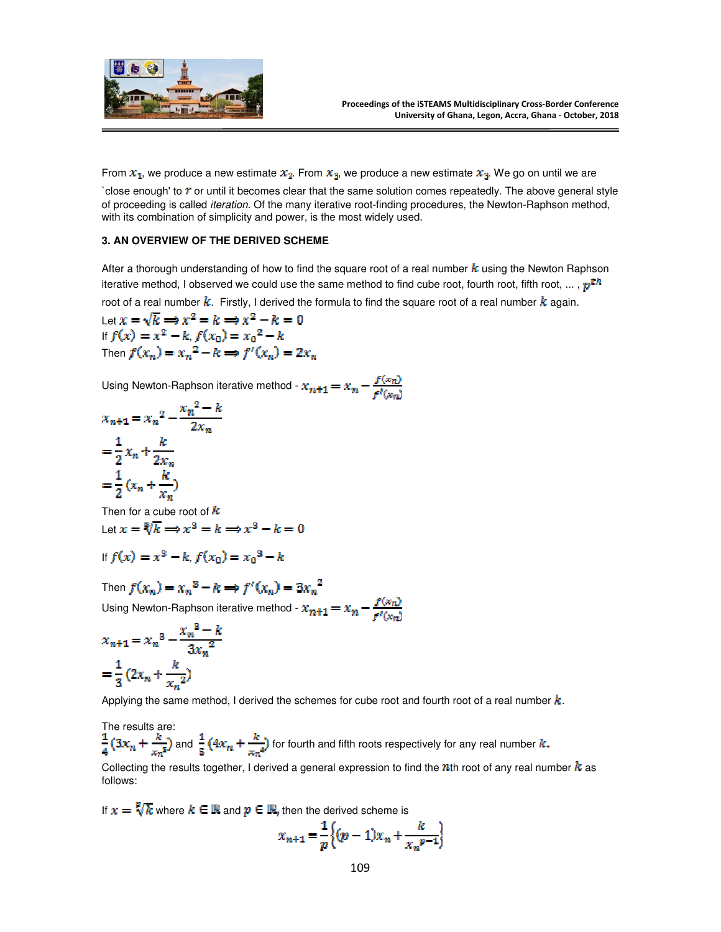

From  $x_1$ , we produce a new estimate  $x_2$ . From  $x_3$ , we produce a new estimate  $x_3$ . We go on until we are

`close enough' to  $r$  or until it becomes clear that the same solution comes repeatedly. The above general style of proceeding is called iteration. Of the many iterative root-finding procedures, the Newton-Raphson method, with its combination of simplicity and power, is the most widely used.

#### **3. AN OVERVIEW OF THE DERIVED SCHEME**

After a thorough understanding of how to find the square root of a real number  $k$  using the Newton Raphson iterative method, I observed we could use the same method to find cube root, fourth root, fifth root, ... ,  $p^{th}$ root of a real number  $k$ . Firstly, I derived the formula to find the square root of a real number  $k$  again.

Let  $x = \sqrt{k} \implies x^2 = k \implies x^2 - k = 0$ If  $f(x) = x^2 - k$ ,  $f(x_0) = x_0^2 - k$ Then  $f(x_n) = x_n^2 - k \implies f'(x_n) = 2x_n$ 

Using Newton-Raphson iterative method -  $x_{n+1} = x_n - \frac{f(x_n)}{f(x_n)}$ 

$$
x_{n+1} = x_n^2 - \frac{x_n^2 - k}{2x_n}
$$

$$
= \frac{1}{2}x_n + \frac{k}{2x_n}
$$

$$
= \frac{1}{2}(x_n + \frac{k}{x_n})
$$

Then for a cube root of  $k$ Let  $x = \sqrt[3]{k} \Longrightarrow x^3 = k \Longrightarrow x^3 - k = 0$ 

If 
$$
f(x) = x^3 - k
$$
,  $f(x_0) = x_0^3 - k$ 

Then  $f(x_n) = x_n^3 - k \Longrightarrow f'(x_n) = 3x_n^2$ 

Using Newton-Raphson iterative method -  $x_{m+1} = x_n - \frac{f(x_n)}{f(x_n)}$ 

$$
x_{n+1} = x_n^3 - \frac{x_n^3 - k}{3x_n^2}
$$

$$
= \frac{1}{3} (2x_n + \frac{k}{x_n^2})
$$

Applying the same method, I derived the schemes for cube root and fourth root of a real number  $k$ .

The results are:  $\frac{1}{4}(3x_n+\frac{k}{x_n^2})$  and  $\frac{1}{5}(4x_n+\frac{k}{x_n^4})$  for fourth and fifth roots respectively for any real number  $k$ .

Collecting the results together, I derived a general expression to find the nth root of any real number  $k$  as follows:

If  $x = \sqrt[p]{k}$  where  $k \in \mathbb{R}$  and  $p \in \mathbb{R}$ , then the derived scheme is

$$
x_{n+1} = \frac{1}{p} \Big\{ (p-1)x_n + \frac{k}{x_n^{p-1}} \Big\}
$$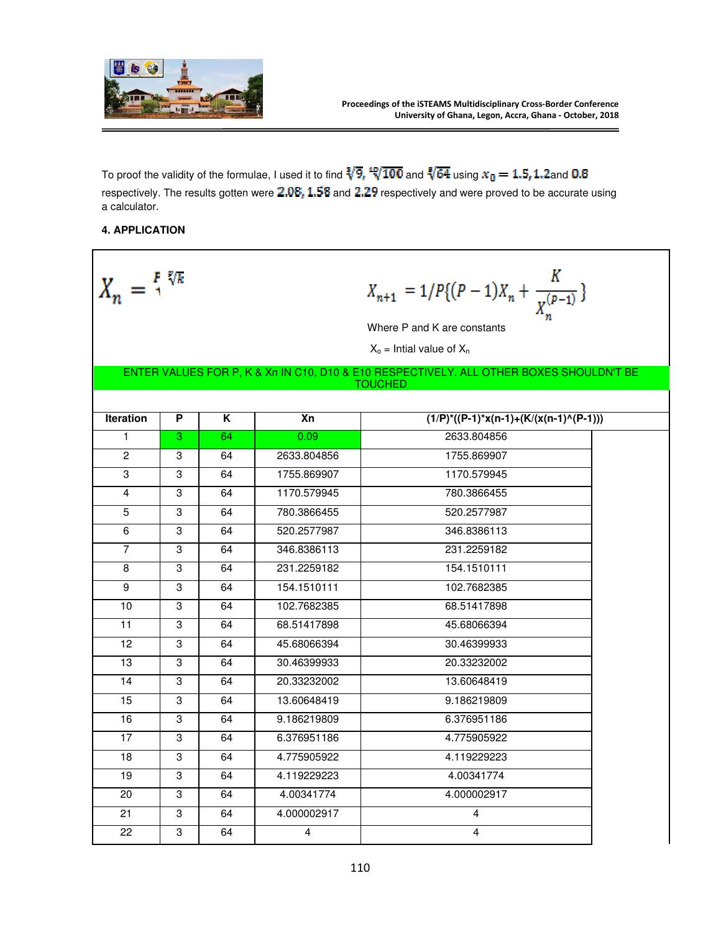

To proof the validity of the formulae, I used it to find  $\sqrt[3]{9}$ ,  $\sqrt[4]{100}$  and  $\sqrt[4]{64}$  using  $x_0 = 1.5, 1.2$ and 0.8 respectively. The results gotten were  $2.08$ ,  $1.58$  and  $2.29$  respectively and were proved to be accurate using a calculator.

## **4. APPLICATION**

| $X_n = \frac{P}{4}^{\frac{p}{\sqrt{k}}}$                                                                  |   |    |             | $X_{n+1} = 1/P\{(P-1)X_n + \frac{K}{X^{(P-1)}}\}$<br>Where P and K are constants<br>$X_0$ = Intial value of $X_n$ |  |  |  |  |  |
|-----------------------------------------------------------------------------------------------------------|---|----|-------------|-------------------------------------------------------------------------------------------------------------------|--|--|--|--|--|
| ENTER VALUES FOR P, K & Xn IN C10, D10 & E10 RESPECTIVELY. ALL OTHER BOXES SHOULDN'T BE<br><b>TOUCHED</b> |   |    |             |                                                                                                                   |  |  |  |  |  |
| <b>Iteration</b>                                                                                          | P | K  | Xn          | $(1/P)^*((P-1)*x(n-1)+(K/(x(n-1)^{(P-1)})))$                                                                      |  |  |  |  |  |
| $\mathbf{1}$                                                                                              | 3 | 64 | 0.09        | 2633.804856                                                                                                       |  |  |  |  |  |
| $\overline{c}$                                                                                            | 3 | 64 | 2633.804856 | 1755.869907                                                                                                       |  |  |  |  |  |
| 3                                                                                                         | 3 | 64 | 1755.869907 | 1170.579945                                                                                                       |  |  |  |  |  |
| 4                                                                                                         | 3 | 64 | 1170.579945 | 780.3866455                                                                                                       |  |  |  |  |  |
| 5                                                                                                         | 3 | 64 | 780.3866455 | 520.2577987                                                                                                       |  |  |  |  |  |
| 6                                                                                                         | 3 | 64 | 520.2577987 | 346.8386113                                                                                                       |  |  |  |  |  |
| $\overline{7}$                                                                                            | 3 | 64 | 346.8386113 | 231.2259182                                                                                                       |  |  |  |  |  |
| 8                                                                                                         | 3 | 64 | 231.2259182 | 154.1510111                                                                                                       |  |  |  |  |  |
| 9                                                                                                         | 3 | 64 | 154.1510111 | 102.7682385                                                                                                       |  |  |  |  |  |
| 10                                                                                                        | 3 | 64 | 102.7682385 | 68.51417898                                                                                                       |  |  |  |  |  |
| 11                                                                                                        | 3 | 64 | 68.51417898 | 45.68066394                                                                                                       |  |  |  |  |  |
| 12                                                                                                        | 3 | 64 | 45.68066394 | 30.46399933                                                                                                       |  |  |  |  |  |
| 13                                                                                                        | 3 | 64 | 30.46399933 | 20.33232002                                                                                                       |  |  |  |  |  |
| 14                                                                                                        | 3 | 64 | 20.33232002 | 13.60648419                                                                                                       |  |  |  |  |  |
| 15                                                                                                        | 3 | 64 | 13.60648419 | 9.186219809                                                                                                       |  |  |  |  |  |
| 16                                                                                                        | 3 | 64 | 9.186219809 | 6.376951186                                                                                                       |  |  |  |  |  |
| 17                                                                                                        | 3 | 64 | 6.376951186 | 4.775905922                                                                                                       |  |  |  |  |  |
| 18                                                                                                        | 3 | 64 | 4.775905922 | 4.119229223                                                                                                       |  |  |  |  |  |
| 19                                                                                                        | 3 | 64 | 4.119229223 | 4.00341774                                                                                                        |  |  |  |  |  |
| 20                                                                                                        | 3 | 64 | 4.00341774  | 4.000002917                                                                                                       |  |  |  |  |  |
| 21                                                                                                        | 3 | 64 | 4.000002917 | 4                                                                                                                 |  |  |  |  |  |
| 22                                                                                                        | 3 | 64 | 4           | 4                                                                                                                 |  |  |  |  |  |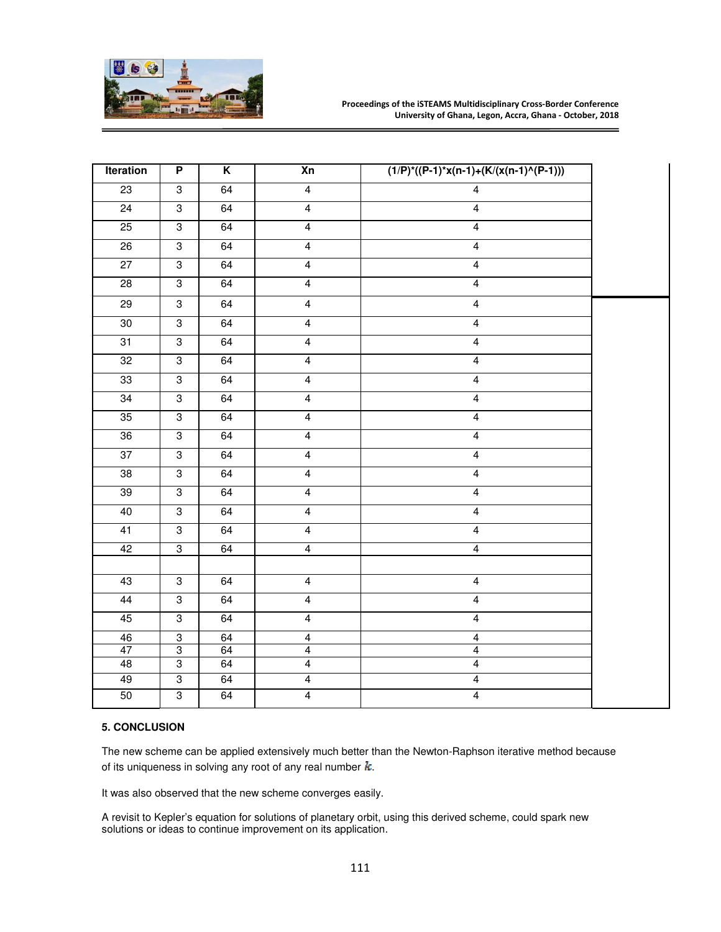

| <b>Iteration</b> | $\overline{P}$            | $\overline{\mathsf{K}}$ | X <sub>n</sub>          | $(1/P)^*(P-1)^*x(n-1)+(K/(x(n-1)^*(P-1)))$ |  |
|------------------|---------------------------|-------------------------|-------------------------|--------------------------------------------|--|
| 23               | $\overline{3}$            | 64                      | $\overline{4}$          | $\overline{4}$                             |  |
| $\overline{24}$  | 3                         | 64                      | $\overline{4}$          | $\overline{\mathbf{4}}$                    |  |
| 25               | $\overline{3}$            | 64                      | $\overline{4}$          | $\overline{4}$                             |  |
| 26               | $\overline{3}$            | 64                      | $\overline{4}$          | $\overline{4}$                             |  |
| $\overline{27}$  | $\overline{3}$            | 64                      | $\overline{4}$          | $\overline{4}$                             |  |
| 28               | 3                         | 64                      | $\overline{\mathbf{4}}$ | $\overline{4}$                             |  |
| 29               | 3                         | 64                      | $\overline{\mathbf{4}}$ | $\overline{4}$                             |  |
| 30               | $\overline{3}$            | 64                      | $\overline{4}$          | $\overline{4}$                             |  |
| 31               | $\overline{3}$            | 64                      | $\overline{4}$          | $\overline{4}$                             |  |
| 32               | 3                         | 64                      | $\overline{4}$          | $\overline{4}$                             |  |
| 33               | 3                         | 64                      | $\overline{4}$          | $\overline{4}$                             |  |
| 34               | $\overline{3}$            | 64                      | $\overline{4}$          | $\overline{4}$                             |  |
| 35               | $\overline{3}$            | 64                      | $\overline{\mathbf{4}}$ | $\overline{4}$                             |  |
| 36               | $\overline{3}$            | 64                      | $\overline{4}$          | $\overline{4}$                             |  |
| 37               | $\overline{3}$            | 64                      | $\overline{4}$          | $\overline{4}$                             |  |
| 38               | $\overline{3}$            | 64                      | $\overline{4}$          | $\overline{4}$                             |  |
| 39               | 3                         | 64                      | $\overline{4}$          | $\overline{4}$                             |  |
| 40               | $\overline{3}$            | 64                      | $\overline{4}$          | $\overline{4}$                             |  |
| 41               | $\overline{3}$            | 64                      | $\overline{4}$          | $\overline{4}$                             |  |
| 42               | 3                         | 64                      | $\overline{4}$          | $\overline{\mathbf{4}}$                    |  |
|                  |                           |                         |                         |                                            |  |
| 43               | $\overline{3}$            | 64                      | $\overline{4}$          | $\overline{4}$                             |  |
| 44               | $\overline{3}$            | 64                      | $\overline{4}$          | $\overline{4}$                             |  |
| 45               | $\overline{3}$            | 64                      | $\overline{4}$          | $\overline{4}$                             |  |
| 46               | $\ensuremath{\mathsf{3}}$ | 64                      | $\overline{\mathbf{4}}$ | $\overline{\mathbf{4}}$                    |  |
| $\overline{47}$  | $\overline{3}$            | 64                      | $\overline{\mathbf{4}}$ | $\overline{\mathbf{4}}$                    |  |
| 48               | $\overline{3}$            | 64                      | $\overline{4}$          | $\overline{4}$                             |  |
| 49               | $\overline{3}$            | 64                      | $\overline{4}$          | $\overline{4}$                             |  |
| 50               | $\overline{3}$            | 64                      | $\overline{4}$          | $\overline{\mathbf{4}}$                    |  |

## **5. CONCLUSION**

The new scheme can be applied extensively much better than the Newton-Raphson iterative method because of its uniqueness in solving any root of any real number  $k$ .

It was also observed that the new scheme converges easily.

A revisit to Kepler's equation for solutions of planetary orbit, using this derived scheme, could spark new solutions or ideas to continue improvement on its application.